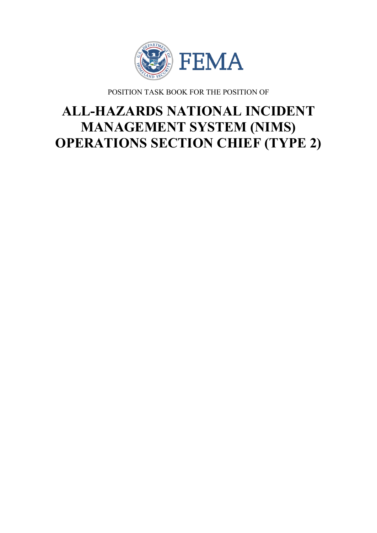

POSITION TASK BOOK FOR THE POSITION OF

# **ALL-HAZARDS NATIONAL INCIDENT MANAGEMENT SYSTEM (NIMS) OPERATIONS SECTION CHIEF (TYPE 2)**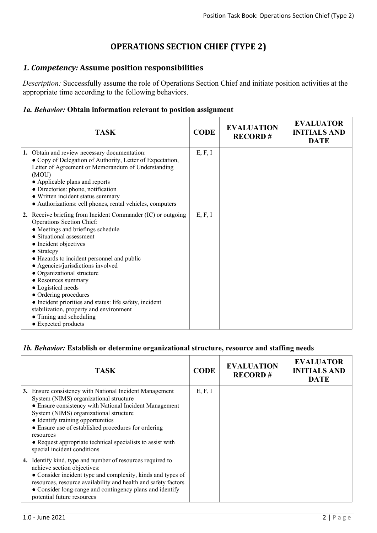# **OPERATIONS SECTION CHIEF (TYPE 2)**

## *1. Competency:* **Assume position responsibilities**

*Description:* Successfully assume the role of Operations Section Chief and initiate position activities at the appropriate time according to the following behaviors.

#### *1a. Behavior:* **Obtain information relevant to position assignment**

| <b>TASK</b>                                                                                                                                                                                                                                                                                                                                                                                                                                                                                                                                              | <b>CODE</b> | <b>EVALUATION</b><br><b>RECORD#</b> | <b>EVALUATOR</b><br><b>INITIALS AND</b><br><b>DATE</b> |
|----------------------------------------------------------------------------------------------------------------------------------------------------------------------------------------------------------------------------------------------------------------------------------------------------------------------------------------------------------------------------------------------------------------------------------------------------------------------------------------------------------------------------------------------------------|-------------|-------------------------------------|--------------------------------------------------------|
| 1. Obtain and review necessary documentation:<br>• Copy of Delegation of Authority, Letter of Expectation,<br>Letter of Agreement or Memorandum of Understanding<br>(MOU)<br>• Applicable plans and reports<br>• Directories: phone, notification<br>• Written incident status summary<br>• Authorizations: cell phones, rental vehicles, computers                                                                                                                                                                                                      | E, F, I     |                                     |                                                        |
| 2. Receive briefing from Incident Commander (IC) or outgoing<br>Operations Section Chief:<br>• Meetings and briefings schedule<br>• Situational assessment<br>• Incident objectives<br>$\bullet$ Strategy<br>• Hazards to incident personnel and public<br>• Agencies/jurisdictions involved<br>• Organizational structure<br>• Resources summary<br>• Logistical needs<br>• Ordering procedures<br>• Incident priorities and status: life safety, incident<br>stabilization, property and environment<br>• Timing and scheduling<br>• Expected products | E, F, I     |                                     |                                                        |

#### *1b. Behavior:* **Establish or determine organizational structure, resource and staffing needs**

| TASK                                                                                                                                                                                                                                                                                                                                                                                                        | <b>CODE</b> | <b>EVALUATION</b><br><b>RECORD#</b> | <b>EVALUATOR</b><br><b>INITIALS AND</b><br><b>DATE</b> |
|-------------------------------------------------------------------------------------------------------------------------------------------------------------------------------------------------------------------------------------------------------------------------------------------------------------------------------------------------------------------------------------------------------------|-------------|-------------------------------------|--------------------------------------------------------|
| 3. Ensure consistency with National Incident Management<br>System (NIMS) organizational structure<br>• Ensure consistency with National Incident Management<br>System (NIMS) organizational structure<br>• Identify training opportunities<br>• Ensure use of established procedures for ordering<br>resources<br>• Request appropriate technical specialists to assist with<br>special incident conditions | E, F, I     |                                     |                                                        |
| 4. Identify kind, type and number of resources required to<br>achieve section objectives:<br>• Consider incident type and complexity, kinds and types of<br>resources, resource availability and health and safety factors<br>• Consider long-range and contingency plans and identify<br>potential future resources                                                                                        |             |                                     |                                                        |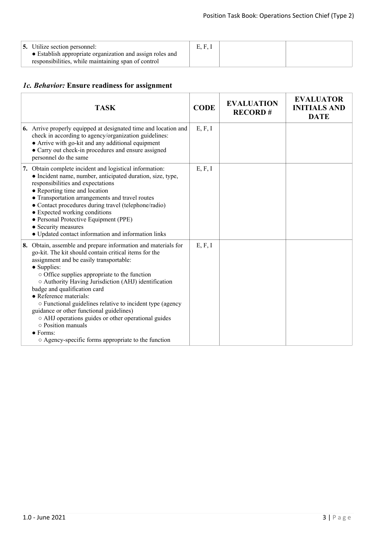# *1c. Behavior:* **Ensure readiness for assignment**

| <b>TASK</b>                                                                                                                                                                                                                                                                                                                                                                                                                                                                                                                                                                                                                | <b>CODE</b> | <b>EVALUATION</b><br><b>RECORD#</b> | <b>EVALUATOR</b><br><b>INITIALS AND</b><br><b>DATE</b> |
|----------------------------------------------------------------------------------------------------------------------------------------------------------------------------------------------------------------------------------------------------------------------------------------------------------------------------------------------------------------------------------------------------------------------------------------------------------------------------------------------------------------------------------------------------------------------------------------------------------------------------|-------------|-------------------------------------|--------------------------------------------------------|
| <b>6.</b> Arrive properly equipped at designated time and location and<br>check in according to agency/organization guidelines:<br>• Arrive with go-kit and any additional equipment<br>• Carry out check-in procedures and ensure assigned<br>personnel do the same                                                                                                                                                                                                                                                                                                                                                       | E, F, I     |                                     |                                                        |
| 7. Obtain complete incident and logistical information:<br>• Incident name, number, anticipated duration, size, type,<br>responsibilities and expectations<br>• Reporting time and location<br>• Transportation arrangements and travel routes<br>• Contact procedures during travel (telephone/radio)<br>• Expected working conditions<br>• Personal Protective Equipment (PPE)<br>• Security measures<br>• Updated contact information and information links                                                                                                                                                             | E, F, I     |                                     |                                                        |
| 8. Obtain, assemble and prepare information and materials for<br>go-kit. The kit should contain critical items for the<br>assignment and be easily transportable:<br>• Supplies:<br>o Office supplies appropriate to the function<br>○ Authority Having Jurisdiction (AHJ) identification<br>badge and qualification card<br>• Reference materials:<br>o Functional guidelines relative to incident type (agency<br>guidance or other functional guidelines)<br>o AHJ operations guides or other operational guides<br>$\circ$ Position manuals<br>$\bullet$ Forms:<br>○ Agency-specific forms appropriate to the function | E, F, I     |                                     |                                                        |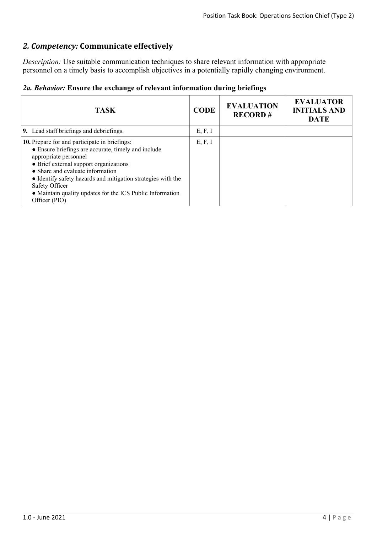# *2. Competency:* **Communicate effectively**

*Description:* Use suitable communication techniques to share relevant information with appropriate personnel on a timely basis to accomplish objectives in a potentially rapidly changing environment.

|  |  |  |  |  | 2a. Behavior: Ensure the exchange of relevant information during briefings |  |  |
|--|--|--|--|--|----------------------------------------------------------------------------|--|--|
|--|--|--|--|--|----------------------------------------------------------------------------|--|--|

| <b>TASK</b>                                                                                                                                                                                                                                                                                                                                                                 | <b>CODE</b> | <b>EVALUATION</b><br><b>RECORD#</b> | <b>EVALUATOR</b><br><b>INITIALS AND</b><br><b>DATE</b> |
|-----------------------------------------------------------------------------------------------------------------------------------------------------------------------------------------------------------------------------------------------------------------------------------------------------------------------------------------------------------------------------|-------------|-------------------------------------|--------------------------------------------------------|
| 9. Lead staff briefings and debriefings.                                                                                                                                                                                                                                                                                                                                    | E, F, I     |                                     |                                                        |
| 10. Prepare for and participate in briefings:<br>• Ensure briefings are accurate, timely and include<br>appropriate personnel<br>• Brief external support organizations<br>• Share and evaluate information<br>• Identify safety hazards and mitigation strategies with the<br>Safety Officer<br>• Maintain quality updates for the ICS Public Information<br>Officer (PIO) | E, F, I     |                                     |                                                        |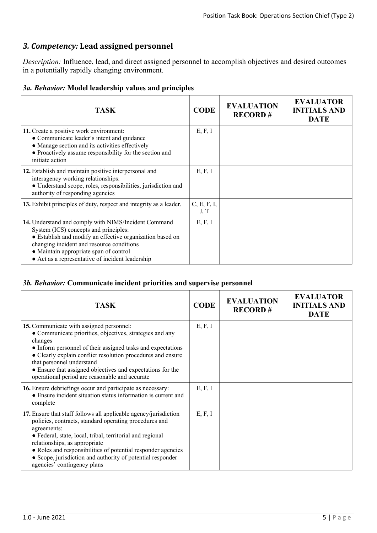# *3. Competency:* **Lead assigned personnel**

*Description:* Influence, lead, and direct assigned personnel to accomplish objectives and desired outcomes in a potentially rapidly changing environment.

#### *3a. Behavior:* **Model leadership values and principles**

| <b>TASK</b>                                                                                                                                                                                                                                                                                           | <b>CODE</b>         | <b>EVALUATION</b><br><b>RECORD#</b> | <b>EVALUATOR</b><br><b>INITIALS AND</b><br><b>DATE</b> |
|-------------------------------------------------------------------------------------------------------------------------------------------------------------------------------------------------------------------------------------------------------------------------------------------------------|---------------------|-------------------------------------|--------------------------------------------------------|
| 11. Create a positive work environment:<br>• Communicate leader's intent and guidance<br>• Manage section and its activities effectively<br>• Proactively assume responsibility for the section and<br>initiate action                                                                                | E, F, I             |                                     |                                                        |
| 12. Establish and maintain positive interpersonal and<br>interagency working relationships:<br>· Understand scope, roles, responsibilities, jurisdiction and<br>authority of responding agencies                                                                                                      | E, F, I             |                                     |                                                        |
| 13. Exhibit principles of duty, respect and integrity as a leader.                                                                                                                                                                                                                                    | C, E, F, I,<br>J, T |                                     |                                                        |
| 14. Understand and comply with NIMS/Incident Command<br>System (ICS) concepts and principles:<br>• Establish and modify an effective organization based on<br>changing incident and resource conditions<br>• Maintain appropriate span of control<br>• Act as a representative of incident leadership | E, F, I             |                                     |                                                        |

#### *3b. Behavior:* **Communicate incident priorities and supervise personnel**

| <b>TASK</b>                                                                                                                                                                                                                                                                                                                                                                                          | <b>CODE</b> | <b>EVALUATION</b><br><b>RECORD#</b> | <b>EVALUATOR</b><br><b>INITIALS AND</b><br><b>DATE</b> |
|------------------------------------------------------------------------------------------------------------------------------------------------------------------------------------------------------------------------------------------------------------------------------------------------------------------------------------------------------------------------------------------------------|-------------|-------------------------------------|--------------------------------------------------------|
| 15. Communicate with assigned personnel:<br>• Communicate priorities, objectives, strategies and any<br>changes<br>• Inform personnel of their assigned tasks and expectations<br>• Clearly explain conflict resolution procedures and ensure<br>that personnel understand<br>• Ensure that assigned objectives and expectations for the<br>operational period are reasonable and accurate           | E, F, I     |                                     |                                                        |
| 16. Ensure debriefings occur and participate as necessary:<br>• Ensure incident situation status information is current and<br>complete                                                                                                                                                                                                                                                              | E, F, I     |                                     |                                                        |
| 17. Ensure that staff follows all applicable agency/jurisdiction<br>policies, contracts, standard operating procedures and<br>agreements:<br>• Federal, state, local, tribal, territorial and regional<br>relationships, as appropriate<br>• Roles and responsibilities of potential responder agencies<br>• Scope, jurisdiction and authority of potential responder<br>agencies' contingency plans | E, F, I     |                                     |                                                        |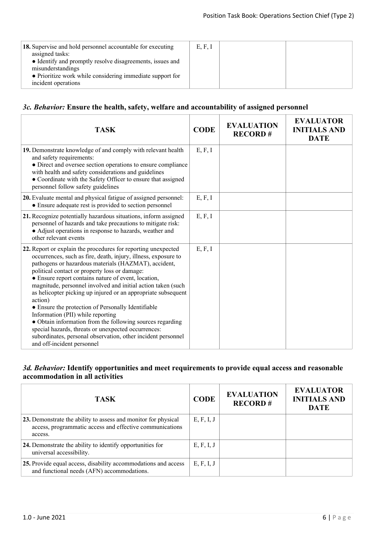## *3c. Behavior:* **Ensure the health, safety, welfare and accountability of assigned personnel**

| <b>TASK</b>                                                                                                                                                                                                                                                                                                                                                                                                                                                                                                                                                                                                                                                                                                                                              | <b>CODE</b> | <b>EVALUATION</b><br><b>RECORD#</b> | <b>EVALUATOR</b><br><b>INITIALS AND</b><br><b>DATE</b> |
|----------------------------------------------------------------------------------------------------------------------------------------------------------------------------------------------------------------------------------------------------------------------------------------------------------------------------------------------------------------------------------------------------------------------------------------------------------------------------------------------------------------------------------------------------------------------------------------------------------------------------------------------------------------------------------------------------------------------------------------------------------|-------------|-------------------------------------|--------------------------------------------------------|
| 19. Demonstrate knowledge of and comply with relevant health<br>and safety requirements:<br>• Direct and oversee section operations to ensure compliance<br>with health and safety considerations and guidelines<br>• Coordinate with the Safety Officer to ensure that assigned<br>personnel follow safety guidelines                                                                                                                                                                                                                                                                                                                                                                                                                                   | E, F, I     |                                     |                                                        |
| 20. Evaluate mental and physical fatigue of assigned personnel:<br>• Ensure adequate rest is provided to section personnel                                                                                                                                                                                                                                                                                                                                                                                                                                                                                                                                                                                                                               | E, F, I     |                                     |                                                        |
| 21. Recognize potentially hazardous situations, inform assigned<br>personnel of hazards and take precautions to mitigate risk:<br>• Adjust operations in response to hazards, weather and<br>other relevant events                                                                                                                                                                                                                                                                                                                                                                                                                                                                                                                                       | E, F, I     |                                     |                                                        |
| 22. Report or explain the procedures for reporting unexpected<br>occurrences, such as fire, death, injury, illness, exposure to<br>pathogens or hazardous materials (HAZMAT), accident,<br>political contact or property loss or damage:<br>• Ensure report contains nature of event, location,<br>magnitude, personnel involved and initial action taken (such<br>as helicopter picking up injured or an appropriate subsequent<br>action)<br>• Ensure the protection of Personally Identifiable<br>Information (PII) while reporting<br>• Obtain information from the following sources regarding<br>special hazards, threats or unexpected occurrences:<br>subordinates, personal observation, other incident personnel<br>and off-incident personnel | E, F, I     |                                     |                                                        |

## *3d. Behavior:* **Identify opportunities and meet requirements to provide equal access and reasonable accommodation in all activities**

| <b>TASK</b>                                                                                                                           | <b>CODE</b> | <b>EVALUATION</b><br><b>RECORD#</b> | <b>EVALUATOR</b><br><b>INITIALS AND</b><br><b>DATE</b> |
|---------------------------------------------------------------------------------------------------------------------------------------|-------------|-------------------------------------|--------------------------------------------------------|
| 23. Demonstrate the ability to assess and monitor for physical<br>access, programmatic access and effective communications<br>access. | E, F, I, J  |                                     |                                                        |
| 24. Demonstrate the ability to identify opportunities for<br>universal accessibility.                                                 | E, F, I, J  |                                     |                                                        |
| 25. Provide equal access, disability accommodations and access<br>and functional needs (AFN) accommodations.                          | E, F, I, J  |                                     |                                                        |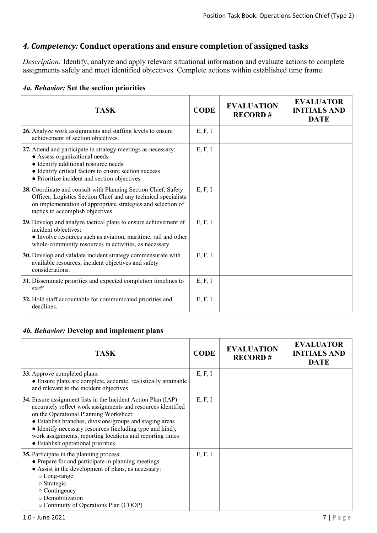# *4. Competency:* **Conduct operations and ensure completion of assigned tasks**

*Description:* Identify, analyze and apply relevant situational information and evaluate actions to complete assignments safely and meet identified objectives. Complete actions within established time frame.

| <b>TASK</b>                                                                                                                                                                                                                                     | <b>CODE</b> | <b>EVALUATION</b><br><b>RECORD#</b> | <b>EVALUATOR</b><br><b>INITIALS AND</b><br><b>DATE</b> |
|-------------------------------------------------------------------------------------------------------------------------------------------------------------------------------------------------------------------------------------------------|-------------|-------------------------------------|--------------------------------------------------------|
| 26. Analyze work assignments and staffing levels to ensure<br>achievement of section objectives.                                                                                                                                                | E, F, I     |                                     |                                                        |
| 27. Attend and participate in strategy meetings as necessary:<br>• Assess organizational needs<br>• Identify additional resource needs<br>• Identify critical factors to ensure section success<br>• Prioritize incident and section objectives | E, F, I     |                                     |                                                        |
| 28. Coordinate and consult with Planning Section Chief, Safety<br>Officer, Logistics Section Chief and any technical specialists<br>on implementation of appropriate strategies and selection of<br>tactics to accomplish objectives.           | E, F, I     |                                     |                                                        |
| 29. Develop and analyze tactical plans to ensure achievement of<br>incident objectives:<br>• Involve resources such as aviation, maritime, rail and other<br>whole-community resources in activities, as necessary                              | E, F, I     |                                     |                                                        |
| 30. Develop and validate incident strategy commensurate with<br>available resources, incident objectives and safety<br>considerations.                                                                                                          | E, F, I     |                                     |                                                        |
| 31. Disseminate priorities and expected completion timelines to<br>staff.                                                                                                                                                                       | E, F, I     |                                     |                                                        |
| 32. Hold staff accountable for communicated priorities and<br>deadlines.                                                                                                                                                                        | E, F, I     |                                     |                                                        |

#### *4b. Behavior:* **Develop and implement plans**

| <b>TASK</b>                                                                                                                                                                                                                                                                                                                                                                                         | <b>CODE</b> | <b>EVALUATION</b><br><b>RECORD#</b> | <b>EVALUATOR</b><br><b>INITIALS AND</b><br><b>DATE</b> |
|-----------------------------------------------------------------------------------------------------------------------------------------------------------------------------------------------------------------------------------------------------------------------------------------------------------------------------------------------------------------------------------------------------|-------------|-------------------------------------|--------------------------------------------------------|
| 33. Approve completed plans:<br>• Ensure plans are complete, accurate, realistically attainable<br>and relevant to the incident objectives                                                                                                                                                                                                                                                          | E, F, I     |                                     |                                                        |
| 34. Ensure assignment lists in the Incident Action Plan (IAP)<br>accurately reflect work assignments and resources identified<br>on the Operational Planning Worksheet:<br>• Establish branches, divisions/groups and staging areas<br>• Identify necessary resources (including type and kind),<br>work assignments, reporting locations and reporting times<br>• Establish operational priorities | E, F, I     |                                     |                                                        |
| 35. Participate in the planning process:<br>• Prepare for and participate in planning meetings<br>• Assist in the development of plans, as necessary:<br>$\circ$ Long-range<br>$\circ$ Strategic<br>$\circ$ Contingency<br>o Demobilization<br>$\circ$ Continuity of Operations Plan (COOP)                                                                                                         | E, F, I     |                                     |                                                        |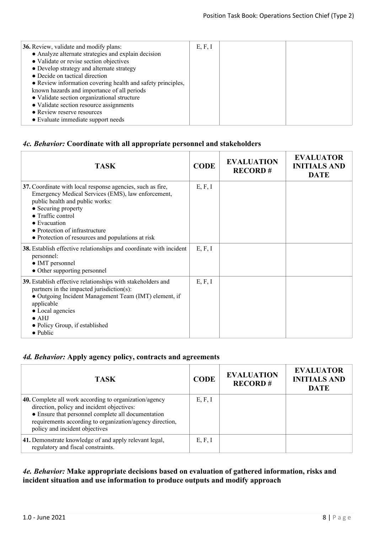| <b>36.</b> Review, validate and modify plans:<br>• Analyze alternate strategies and explain decision<br>• Validate or revise section objectives<br>• Develop strategy and alternate strategy<br>• Decide on tactical direction<br>• Review information covering health and safety principles,<br>known hazards and importance of all periods<br>• Validate section organizational structure<br>• Validate section resource assignments<br>• Review reserve resources<br>• Evaluate immediate support needs | E, F, I |  |  |
|------------------------------------------------------------------------------------------------------------------------------------------------------------------------------------------------------------------------------------------------------------------------------------------------------------------------------------------------------------------------------------------------------------------------------------------------------------------------------------------------------------|---------|--|--|
|------------------------------------------------------------------------------------------------------------------------------------------------------------------------------------------------------------------------------------------------------------------------------------------------------------------------------------------------------------------------------------------------------------------------------------------------------------------------------------------------------------|---------|--|--|

## *4c. Behavior:* **Coordinate with all appropriate personnel and stakeholders**

| <b>TASK</b>                                                                                                                                                                                                                                                                                                            | <b>CODE</b> | <b>EVALUATION</b><br><b>RECORD#</b> | <b>EVALUATOR</b><br><b>INITIALS AND</b><br><b>DATE</b> |
|------------------------------------------------------------------------------------------------------------------------------------------------------------------------------------------------------------------------------------------------------------------------------------------------------------------------|-------------|-------------------------------------|--------------------------------------------------------|
| 37. Coordinate with local response agencies, such as fire,<br>Emergency Medical Services (EMS), law enforcement,<br>public health and public works:<br>• Securing property<br>$\bullet$ Traffic control<br>$\bullet$ Evacuation<br>• Protection of infrastructure<br>• Protection of resources and populations at risk | E, F, I     |                                     |                                                        |
| 38. Establish effective relationships and coordinate with incident<br>personnel:<br>• IMT personnel<br>• Other supporting personnel                                                                                                                                                                                    | E, F, I     |                                     |                                                        |
| 39. Establish effective relationships with stakeholders and<br>partners in the impacted jurisdiction(s):<br>• Outgoing Incident Management Team (IMT) element, if<br>applicable<br>• Local agencies<br>$\bullet$ AHJ<br>• Policy Group, if established<br>$\bullet$ Public                                             | E, F, I     |                                     |                                                        |

## *4d. Behavior:* **Apply agency policy, contracts and agreements**

| <b>TASK</b>                                                                                                                                                                                                                                                     | <b>CODE</b> | <b>EVALUATION</b><br><b>RECORD#</b> | <b>EVALUATOR</b><br><b>INITIALS AND</b><br><b>DATE</b> |
|-----------------------------------------------------------------------------------------------------------------------------------------------------------------------------------------------------------------------------------------------------------------|-------------|-------------------------------------|--------------------------------------------------------|
| <b>40.</b> Complete all work according to organization/agency<br>direction, policy and incident objectives:<br>• Ensure that personnel complete all documentation<br>requirements according to organization/agency direction,<br>policy and incident objectives | E, F, I     |                                     |                                                        |
| 41. Demonstrate knowledge of and apply relevant legal,<br>regulatory and fiscal constraints.                                                                                                                                                                    | E, F, I     |                                     |                                                        |

#### *4e. Behavior:* **Make appropriate decisions based on evaluation of gathered information, risks and incident situation and use information to produce outputs and modify approach**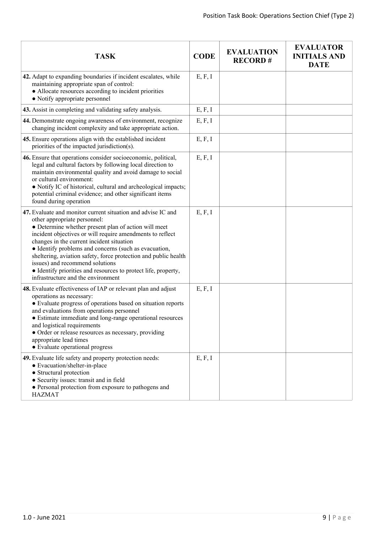| <b>TASK</b>                                                                                                                                                                                                                                                                                                                                                                                                                                                                                                                           | <b>CODE</b> | <b>EVALUATION</b><br><b>RECORD#</b> | <b>EVALUATOR</b><br><b>INITIALS AND</b><br><b>DATE</b> |
|---------------------------------------------------------------------------------------------------------------------------------------------------------------------------------------------------------------------------------------------------------------------------------------------------------------------------------------------------------------------------------------------------------------------------------------------------------------------------------------------------------------------------------------|-------------|-------------------------------------|--------------------------------------------------------|
| 42. Adapt to expanding boundaries if incident escalates, while<br>maintaining appropriate span of control:<br>• Allocate resources according to incident priorities<br>• Notify appropriate personnel                                                                                                                                                                                                                                                                                                                                 | E, F, I     |                                     |                                                        |
| 43. Assist in completing and validating safety analysis.                                                                                                                                                                                                                                                                                                                                                                                                                                                                              | E, F, I     |                                     |                                                        |
| 44. Demonstrate ongoing awareness of environment, recognize<br>changing incident complexity and take appropriate action.                                                                                                                                                                                                                                                                                                                                                                                                              | E, F, I     |                                     |                                                        |
| 45. Ensure operations align with the established incident<br>priorities of the impacted jurisdiction(s).                                                                                                                                                                                                                                                                                                                                                                                                                              | E, F, I     |                                     |                                                        |
| 46. Ensure that operations consider socioeconomic, political,<br>legal and cultural factors by following local direction to<br>maintain environmental quality and avoid damage to social<br>or cultural environment:<br>• Notify IC of historical, cultural and archeological impacts;<br>potential criminal evidence; and other significant items<br>found during operation                                                                                                                                                          | E, F, I     |                                     |                                                        |
| 47. Evaluate and monitor current situation and advise IC and<br>other appropriate personnel:<br>• Determine whether present plan of action will meet<br>incident objectives or will require amendments to reflect<br>changes in the current incident situation<br>• Identify problems and concerns (such as evacuation,<br>sheltering, aviation safety, force protection and public health<br>issues) and recommend solutions<br>• Identify priorities and resources to protect life, property,<br>infrastructure and the environment | E, F, I     |                                     |                                                        |
| 48. Evaluate effectiveness of IAP or relevant plan and adjust<br>operations as necessary:<br>• Evaluate progress of operations based on situation reports<br>and evaluations from operations personnel<br>• Estimate immediate and long-range operational resources<br>and logistical requirements<br>• Order or release resources as necessary, providing<br>appropriate lead times<br>• Evaluate operational progress                                                                                                               | E, F, I     |                                     |                                                        |
| 49. Evaluate life safety and property protection needs:<br>• Evacuation/shelter-in-place<br>• Structural protection<br>• Security issues: transit and in field<br>· Personal protection from exposure to pathogens and<br><b>HAZMAT</b>                                                                                                                                                                                                                                                                                               | E, F, I     |                                     |                                                        |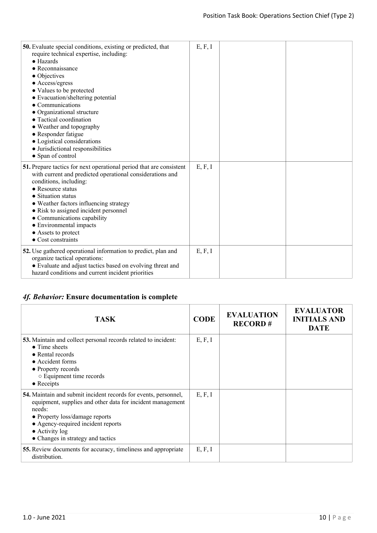| 50. Evaluate special conditions, existing or predicted, that<br>require technical expertise, including:<br>$\bullet$ Hazards<br>$\bullet$ Reconnaissance<br>• Objectives                                                                                                                                                                                                                                | E, F, I |  |
|---------------------------------------------------------------------------------------------------------------------------------------------------------------------------------------------------------------------------------------------------------------------------------------------------------------------------------------------------------------------------------------------------------|---------|--|
| • Access/egress<br>• Values to be protected<br>• Evacuation/sheltering potential<br>$\bullet$ Communications<br>• Organizational structure<br>• Tactical coordination<br>• Weather and topography<br>• Responder fatigue<br>• Logistical considerations<br>· Jurisdictional responsibilities<br>• Span of control                                                                                       |         |  |
| 51. Prepare tactics for next operational period that are consistent<br>with current and predicted operational considerations and<br>conditions, including:<br>• Resource status<br>• Situation status<br>• Weather factors influencing strategy<br>• Risk to assigned incident personnel<br>• Communications capability<br>• Environmental impacts<br>• Assets to protect<br>$\bullet$ Cost constraints | E, F, I |  |
| 52. Use gathered operational information to predict, plan and<br>organize tactical operations:<br>• Evaluate and adjust tactics based on evolving threat and<br>hazard conditions and current incident priorities                                                                                                                                                                                       | E, F, I |  |

# *4f. Behavior:* **Ensure documentation is complete**

| <b>TASK</b>                                                                                                                                                                                                                                                                           | <b>CODE</b> | <b>EVALUATION</b><br><b>RECORD#</b> | <b>EVALUATOR</b><br><b>INITIALS AND</b><br><b>DATE</b> |
|---------------------------------------------------------------------------------------------------------------------------------------------------------------------------------------------------------------------------------------------------------------------------------------|-------------|-------------------------------------|--------------------------------------------------------|
| 53. Maintain and collect personal records related to incident:<br>$\bullet$ Time sheets<br>• Rental records<br>$\bullet$ Accident forms<br>• Property records<br>○ Equipment time records<br>$\bullet$ Receipts                                                                       | E, F, I     |                                     |                                                        |
| <b>54.</b> Maintain and submit incident records for events, personnel,<br>equipment, supplies and other data for incident management<br>needs:<br>• Property loss/damage reports<br>• Agency-required incident reports<br>$\bullet$ Activity log<br>• Changes in strategy and tactics | E, F, I     |                                     |                                                        |
| 55. Review documents for accuracy, timeliness and appropriate<br>distribution.                                                                                                                                                                                                        | E, F, I     |                                     |                                                        |